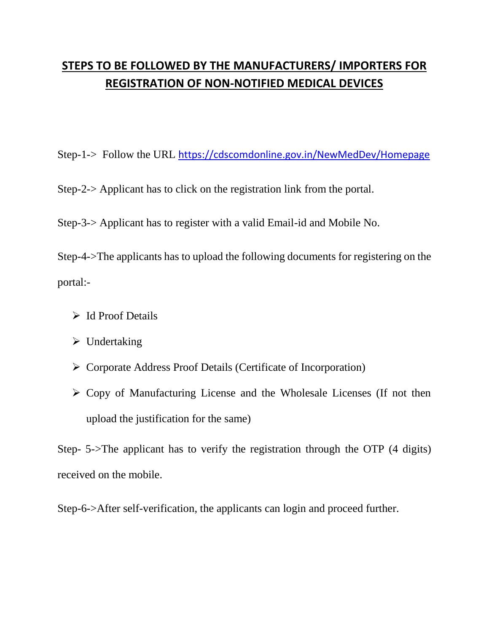## **STEPS TO BE FOLLOWED BY THE MANUFACTURERS/ IMPORTERS FOR REGISTRATION OF NON-NOTIFIED MEDICAL DEVICES**

Step-1-> Follow the URL <https://cdscomdonline.gov.in/NewMedDev/Homepage>

Step-2-> Applicant has to click on the registration link from the portal.

Step-3-> Applicant has to register with a valid Email-id and Mobile No.

Step-4->The applicants has to upload the following documents for registering on the portal:-

- Id Proof Details
- $\triangleright$  Undertaking
- Corporate Address Proof Details (Certificate of Incorporation)
- $\triangleright$  Copy of Manufacturing License and the Wholesale Licenses (If not then upload the justification for the same)

Step- 5->The applicant has to verify the registration through the OTP (4 digits) received on the mobile.

Step-6->After self-verification, the applicants can login and proceed further.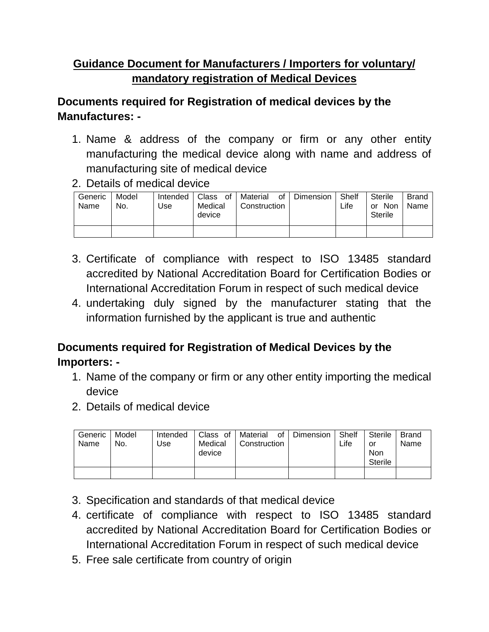## **Guidance Document for Manufacturers / Importers for voluntary/ mandatory registration of Medical Devices**

## **Documents required for Registration of medical devices by the Manufactures: -**

- 1. Name & address of the company or firm or any other entity manufacturing the medical device along with name and address of manufacturing site of medical device
- 2. Details of medical device

| Generic<br>Name | Model<br>No. | Intended<br>Use | Class<br>of<br>Medical<br>device | Material<br>0f<br>Construction | Dimension | Shelf<br>Life | Sterile<br><b>Non</b><br>or<br>Sterile | <b>Brand</b><br>Name |
|-----------------|--------------|-----------------|----------------------------------|--------------------------------|-----------|---------------|----------------------------------------|----------------------|
|                 |              |                 |                                  |                                |           |               |                                        |                      |

- 3. Certificate of compliance with respect to ISO 13485 standard accredited by National Accreditation Board for Certification Bodies or International Accreditation Forum in respect of such medical device
- 4. undertaking duly signed by the manufacturer stating that the information furnished by the applicant is true and authentic

## **Documents required for Registration of Medical Devices by the Importers: -**

- 1. Name of the company or firm or any other entity importing the medical device
- 2. Details of medical device

| Generic<br>Name | Model<br>No. | Intended<br>Use | Class of<br>Medical<br>device | of<br>Material<br>Construction | Dimension | Shelf<br>Life | Sterile<br>or<br><b>Non</b><br><b>Sterile</b> | <b>Brand</b><br>Name |
|-----------------|--------------|-----------------|-------------------------------|--------------------------------|-----------|---------------|-----------------------------------------------|----------------------|
|                 |              |                 |                               |                                |           |               |                                               |                      |

- 3. Specification and standards of that medical device
- 4. certificate of compliance with respect to ISO 13485 standard accredited by National Accreditation Board for Certification Bodies or International Accreditation Forum in respect of such medical device
- 5. Free sale certificate from country of origin